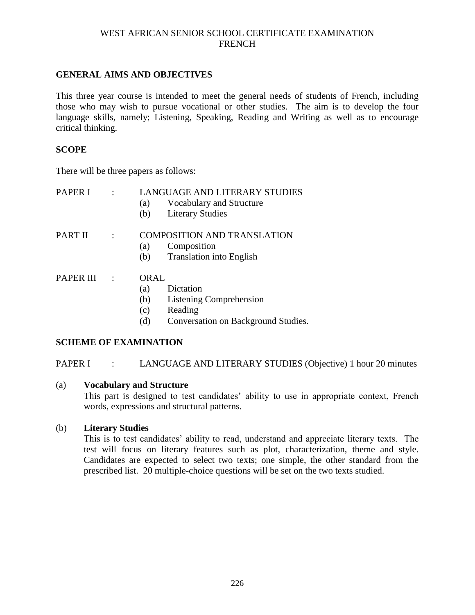## **GENERAL AIMS AND OBJECTIVES**

This three year course is intended to meet the general needs of students of French, including those who may wish to pursue vocational or other studies. The aim is to develop the four language skills, namely; Listening, Speaking, Reading and Writing as well as to encourage critical thinking.

## **SCOPE**

There will be three papers as follows:

| PAPER I   | <b>LANGUAGE AND LITERARY STUDIES</b><br>Vocabulary and Structure<br>(a)<br><b>Literary Studies</b><br>(b)                         |
|-----------|-----------------------------------------------------------------------------------------------------------------------------------|
| PART II   | <b>COMPOSITION AND TRANSLATION</b><br>Composition<br>(a)<br><b>Translation into English</b><br>(b)                                |
| PAPER III | ORAL<br>Dictation<br>(a)<br>(b)<br><b>Listening Comprehension</b><br>Reading<br>(c)<br>Conversation on Background Studies.<br>(d) |

## **SCHEME OF EXAMINATION**

## PAPER I : LANGUAGE AND LITERARY STUDIES (Objective) 1 hour 20 minutes

## (a) **Vocabulary and Structure**

This part is designed to test candidates' ability to use in appropriate context, French words, expressions and structural patterns.

# (b) **Literary Studies**

This is to test candidates' ability to read, understand and appreciate literary texts. The test will focus on literary features such as plot, characterization, theme and style. Candidates are expected to select two texts; one simple, the other standard from the prescribed list. 20 multiple-choice questions will be set on the two texts studied.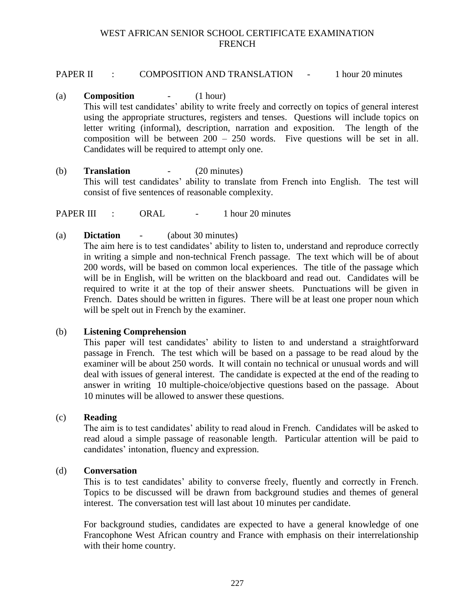## PAPER II : COMPOSITION AND TRANSLATION - 1 hour 20 minutes

- (a) **Composition** (1 hour) This will test candidates' ability to write freely and correctly on topics of general interest using the appropriate structures, registers and tenses. Questions will include topics on letter writing (informal), description, narration and exposition. The length of the composition will be between  $200 - 250$  words. Five questions will be set in all. Candidates will be required to attempt only one.
- (b) **Translation** (20 minutes) This will test candidates' ability to translate from French into English. The test will consist of five sentences of reasonable complexity.

PAPER III : ORAL - 1 hour 20 minutes

(a) **Dictation** - (about 30 minutes)

The aim here is to test candidates' ability to listen to, understand and reproduce correctly in writing a simple and non-technical French passage. The text which will be of about 200 words, will be based on common local experiences. The title of the passage which will be in English, will be written on the blackboard and read out. Candidates will be required to write it at the top of their answer sheets. Punctuations will be given in French. Dates should be written in figures. There will be at least one proper noun which will be spelt out in French by the examiner.

## (b) **Listening Comprehension**

This paper will test candidates' ability to listen to and understand a straightforward passage in French. The test which will be based on a passage to be read aloud by the examiner will be about 250 words. It will contain no technical or unusual words and will deal with issues of general interest. The candidate is expected at the end of the reading to answer in writing 10 multiple-choice/objective questions based on the passage. About 10 minutes will be allowed to answer these questions.

## (c) **Reading**

The aim is to test candidates' ability to read aloud in French. Candidates will be asked to read aloud a simple passage of reasonable length. Particular attention will be paid to candidates' intonation, fluency and expression.

## (d) **Conversation**

This is to test candidates' ability to converse freely, fluently and correctly in French. Topics to be discussed will be drawn from background studies and themes of general interest. The conversation test will last about 10 minutes per candidate.

For background studies, candidates are expected to have a general knowledge of one Francophone West African country and France with emphasis on their interrelationship with their home country.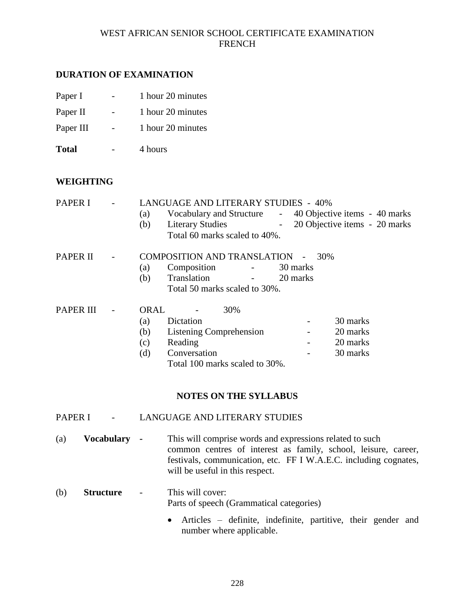## **DURATION OF EXAMINATION**

| Paper I   | 1 hour 20 minutes |
|-----------|-------------------|
| Paper II  | 1 hour 20 minutes |
| Paper III | 1 hour 20 minutes |

**Total** - 4 hours

## **WEIGHTING**

| <b>PAPER I</b>   | (a)<br>(b) | <b>LANGUAGE AND LITERARY STUDIES - 40%</b><br>Vocabulary and Structure - 40 Objective items - 40 marks<br><b>Literary Studies</b><br>Total 60 marks scaled to 40%. |          | - 20 Objective items - 20 marks |  |
|------------------|------------|--------------------------------------------------------------------------------------------------------------------------------------------------------------------|----------|---------------------------------|--|
| <b>PAPER II</b>  |            | COMPOSITION AND TRANSLATION -                                                                                                                                      |          | 30%                             |  |
|                  | (a)        | Composition                                                                                                                                                        | 30 marks |                                 |  |
|                  | (b)        | Translation                                                                                                                                                        | 20 marks |                                 |  |
|                  |            | Total 50 marks scaled to 30%.                                                                                                                                      |          |                                 |  |
| <b>PAPER III</b> | ORAL       | 30%                                                                                                                                                                |          |                                 |  |
|                  | (a)        | Dictation                                                                                                                                                          |          | 30 marks                        |  |
|                  | (b)        | <b>Listening Comprehension</b>                                                                                                                                     |          | 20 marks                        |  |
|                  | (c)        | Reading                                                                                                                                                            |          | 20 marks                        |  |
|                  | (d)        | Conversation                                                                                                                                                       |          | 30 marks                        |  |
|                  |            | Total 100 marks scaled to 30%.                                                                                                                                     |          |                                 |  |

## **NOTES ON THE SYLLABUS**

## PAPER I - LANGUAGE AND LITERARY STUDIES

- (a) **Vocabulary -** This will comprise words and expressions related to such common centres of interest as family, school, leisure, career, festivals, communication, etc. FF I W.A.E.C. including cognates, will be useful in this respect.
- (b) **Structure** This will cover: Parts of speech (Grammatical categories)
	- Articles definite, indefinite, partitive, their gender and number where applicable.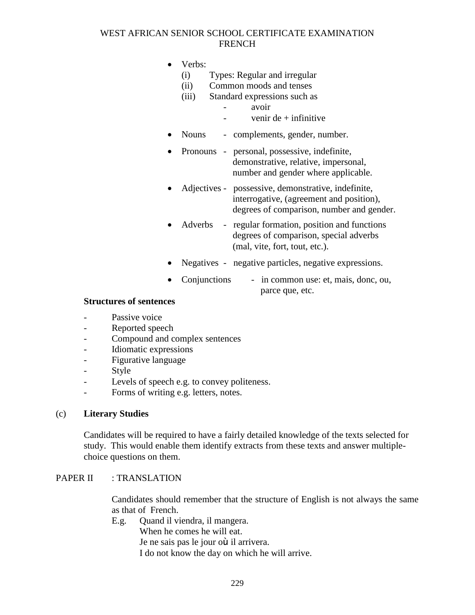- Verbs:
	- (i) Types: Regular and irregular
	- (ii) Common moods and tenses
	- (iii) Standard expressions such as
		- avoir
		- $-$  venir de  $+$  infinitive
- Nouns complements, gender, number.
- Pronouns personal, possessive, indefinite, demonstrative, relative, impersonal, number and gender where applicable.
- Adjectives possessive, demonstrative, indefinite, interrogative, (agreement and position), degrees of comparison, number and gender.
- Adverbs regular formation, position and functions degrees of comparison, special adverbs (mal, vite, fort, tout, etc.).
- Negatives negative particles, negative expressions.
- Conjunctions in common use: et, mais, donc, ou, parce que, etc.

#### **Structures of sentences**

- Passive voice
- Reported speech
- Compound and complex sentences
- Idiomatic expressions
- Figurative language
- **Style**
- Levels of speech e.g. to convey politeness.
- Forms of writing e.g. letters, notes.

## (c) **Literary Studies**

Candidates will be required to have a fairly detailed knowledge of the texts selected for study. This would enable them identify extracts from these texts and answer multiplechoice questions on them.

#### PAPER II : TRANSLATION

Candidates should remember that the structure of English is not always the same as that of French.

E.g. Quand il viendra, il mangera.

When he comes he will eat.

Je ne sais pas le jour où il arrivera.

I do not know the day on which he will arrive.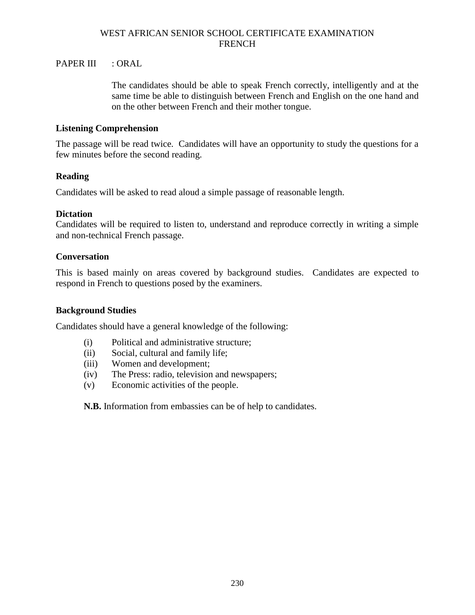## PAPER III : ORAL

The candidates should be able to speak French correctly, intelligently and at the same time be able to distinguish between French and English on the one hand and on the other between French and their mother tongue.

#### **Listening Comprehension**

The passage will be read twice. Candidates will have an opportunity to study the questions for a few minutes before the second reading.

#### **Reading**

Candidates will be asked to read aloud a simple passage of reasonable length.

#### **Dictation**

Candidates will be required to listen to, understand and reproduce correctly in writing a simple and non-technical French passage.

#### **Conversation**

This is based mainly on areas covered by background studies. Candidates are expected to respond in French to questions posed by the examiners.

#### **Background Studies**

Candidates should have a general knowledge of the following:

- (i) Political and administrative structure;
- (ii) Social, cultural and family life;
- (iii) Women and development;
- (iv) The Press: radio, television and newspapers;
- (v) Economic activities of the people.

**N.B.** Information from embassies can be of help to candidates.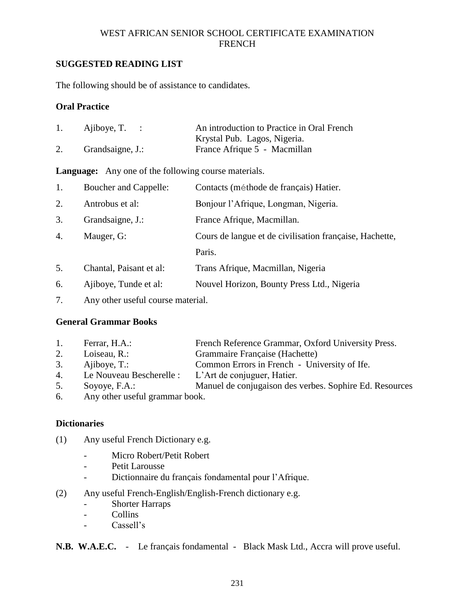# **SUGGESTED READING LIST**

The following should be of assistance to candidates.

## **Oral Practice**

|    | Ajiboye, $T$ . : | An introduction to Practice in Oral French |
|----|------------------|--------------------------------------------|
|    |                  | Krystal Pub. Lagos, Nigeria.               |
| 2. | Grandsaigne, J.: | France Afrique 5 - Macmillan               |

## **Language:** Any one of the following course materials.

| 1.               | Boucher and Cappelle:   | Contacts (méthode de français) Hatier.                  |
|------------------|-------------------------|---------------------------------------------------------|
| 2.               | Antrobus et al:         | Bonjour l'Afrique, Longman, Nigeria.                    |
| 3.               | Grandsaigne, J.:        | France Afrique, Macmillan.                              |
| $\overline{4}$ . | Mauger, G:              | Cours de langue et de civilisation française, Hachette, |
|                  |                         | Paris.                                                  |
| 5.               | Chantal, Paisant et al: | Trans Afrique, Macmillan, Nigeria                       |
| 6.               | Ajiboye, Tunde et al:   | Nouvel Horizon, Bounty Press Ltd., Nigeria              |
|                  |                         |                                                         |

7. Any other useful course material.

# **General Grammar Books**

| 1. | Ferrar, H.A.:                  | French Reference Grammar, Oxford University Press.      |
|----|--------------------------------|---------------------------------------------------------|
| 2. | Loiseau, R.:                   | Grammaire Française (Hachette)                          |
| 3. | Ajiboye, T.:                   | Common Errors in French - University of Ife.            |
| 4. | Le Nouveau Bescherelle :       | L'Art de conjuguer, Hatier.                             |
| 5. | Soyoye, F.A.:                  | Manuel de conjugaison des verbes. Sophire Ed. Resources |
| 6. | Any other useful grammar book. |                                                         |

# **Dictionaries**

- (1) Any useful French Dictionary e.g.
	- Micro Robert/Petit Robert
	- Petit Larousse
	- Dictionnaire du franÇais fondamental pour l'Afrique.
- (2) Any useful French-English/English-French dictionary e.g.
	- Shorter Harraps
	- Collins
	- Cassell's

**N.B. W.A.E.C.** - Le franÇais fondamental - Black Mask Ltd., Accra will prove useful.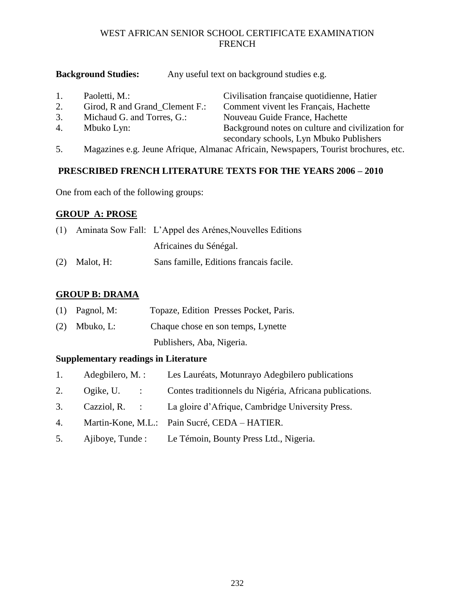# **Background Studies:** Any useful text on background studies e.g.

| $\mathbf{1}$ . | Paoletti, M.:                  | Civilisation française quotidienne, Hatier                                          |
|----------------|--------------------------------|-------------------------------------------------------------------------------------|
| 2.             | Girod, R and Grand_Clement F.: | Comment vivent les Français, Hachette                                               |
| 3.             | Michaud G. and Torres, G.:     | Nouveau Guide France, Hachette                                                      |
| 4.             | Mbuko Lyn:                     | Background notes on culture and civilization for                                    |
|                |                                | secondary schools, Lyn Mbuko Publishers                                             |
| 5.             |                                | Magazines e.g. Jeune Afrique, Almanac Africain, Newspapers, Tourist brochures, etc. |

# **PRESCRIBED FRENCH LITERATURE TEXTS FOR THE YEARS 2006 – 2010**

One from each of the following groups:

# **GROUP A: PROSE**

|                 | (1) Aminata Sow Fall: L'Appel des Arénes, Nouvelles Editions |
|-----------------|--------------------------------------------------------------|
|                 | Africaines du Sénégal.                                       |
| $(2)$ Malot, H: | Sans famille, Editions francais facile.                      |

# **GROUP B: DRAMA**

| $(1)$ Pagnol, M: | Topaze, Edition Presses Pocket, Paris. |
|------------------|----------------------------------------|
| $(2)$ Mbuko, L:  | Chaque chose en son temps, Lynette     |
|                  | Publishers, Aba, Nigeria.              |

# **Supplementary readings in Literature**

| Les Lauréats, Motunrayo Adegbilero publications<br>Adegbilero, $M$ .: |  |
|-----------------------------------------------------------------------|--|
|-----------------------------------------------------------------------|--|

- 2. Ogike, U. : Contes traditionnels du Nigéria, Africana publications.
- 3. Cazziol, R. : La gloire d'Afrique, Cambridge University Press.
- 4. Martin-Kone, M.L.: Pain Sucré, CEDA HATIER.
- 5. Ajiboye, Tunde : Le Témoin, Bounty Press Ltd., Nigeria.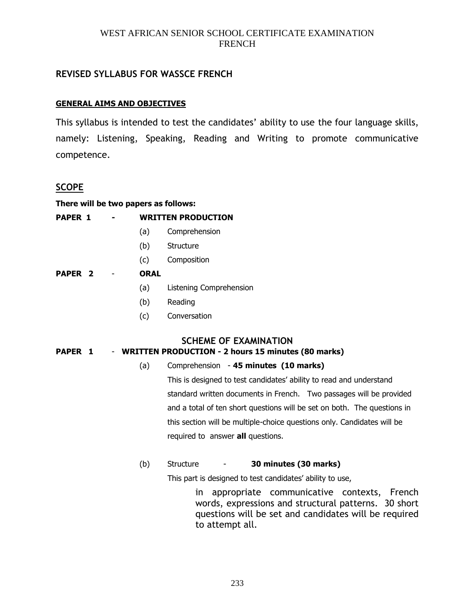# **REVISED SYLLABUS FOR WASSCE FRENCH**

## **GENERAL AIMS AND OBJECTIVES**

This syllabus is intended to test the candidates' ability to use the four language skills, namely: Listening, Speaking, Reading and Writing to promote communicative competence.

# **SCOPE**

|  |  | There will be two papers as follows: |  |  |
|--|--|--------------------------------------|--|--|
|  |  |                                      |  |  |

| <b>PAPER 1</b>     |      | <b>WRITTEN PRODUCTION</b> |
|--------------------|------|---------------------------|
|                    | (a)  | Comprehension             |
|                    | (b)  | Structure                 |
|                    | (c)  | Composition               |
| PAPER <sub>2</sub> | ORAL |                           |
|                    | (a)  | Listening Comprehension   |
|                    | (b)  | Reading                   |

(c) Conversation

**SCHEME OF EXAMINATION**

## **PAPER 1** - **WRITTEN PRODUCTION - 2 hours 15 minutes (80 marks)**

# (a) Comprehension - **45 minutes (10 marks)**

This is designed to test candidates' ability to read and understand standard written documents in French. Two passages will be provided and a total of ten short questions will be set on both. The questions in this section will be multiple-choice questions only. Candidates will be required to answer **all** questions.

## (b) Structure - **30 minutes (30 marks)**

This part is designed to test candidates' ability to use,

in appropriate communicative contexts, French words, expressions and structural patterns. 30 short questions will be set and candidates will be required to attempt all.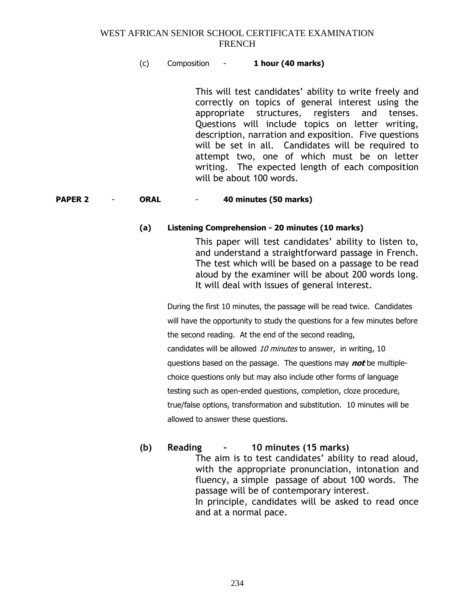## (c) Composition - **1 hour (40 marks)**

This will test candidates' ability to write freely and correctly on topics of general interest using the appropriate structures, registers and tenses. Questions will include topics on letter writing, description, narration and exposition. Five questions will be set in all. Candidates will be required to attempt two, one of which must be on letter writing. The expected length of each composition will be about 100 words.

#### **PAPER 2** - **ORAL** - **40 minutes (50 marks)**

#### **(a) Listening Comprehension - 20 minutes (10 marks)**

This paper will test candidates' ability to listen to, and understand a straightforward passage in French. The test which will be based on a passage to be read aloud by the examiner will be about 200 words long. It will deal with issues of general interest.

During the first 10 minutes, the passage will be read twice. Candidates will have the opportunity to study the questions for a few minutes before the second reading. At the end of the second reading, candidates will be allowed 10 minutes to answer, in writing, 10 questions based on the passage. The questions may **not** be multiplechoice questions only but may also include other forms of language testing such as open-ended questions, completion, cloze procedure, true/false options, transformation and substitution. 10 minutes will be allowed to answer these questions.

# **(b) Reading - 10 minutes (15 marks)**

The aim is to test candidates' ability to read aloud, with the appropriate pronunciation, intonation and fluency, a simple passage of about 100 words. The passage will be of contemporary interest. In principle, candidates will be asked to read once and at a normal pace.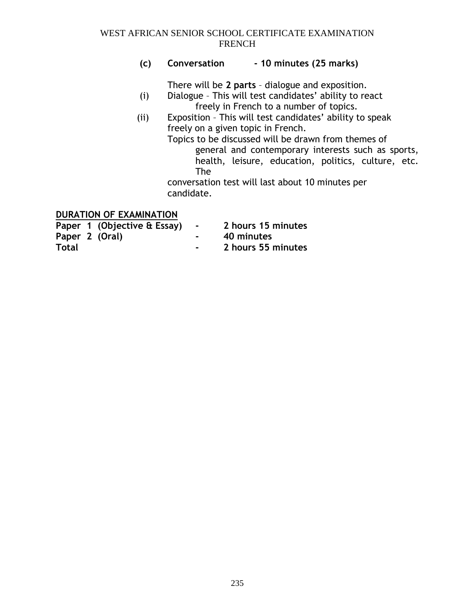# **(c) Conversation - 10 minutes (25 marks)**

There will be **2 parts** – dialogue and exposition.

- (i) Dialogue This will test candidates' ability to react freely in French to a number of topics.
- (ii) Exposition This will test candidates' ability to speak freely on a given topic in French.

Topics to be discussed will be drawn from themes of general and contemporary interests such as sports, health, leisure, education, politics, culture, etc. The

conversation test will last about 10 minutes per candidate.

# **DURATION OF EXAMINATION**

| Paper 1 (Objective & Essay) |        | 2 hours 15 minutes |
|-----------------------------|--------|--------------------|
| Paper 2 (Oral)              | $\sim$ | 40 minutes         |
| <b>Total</b>                |        | 2 hours 55 minutes |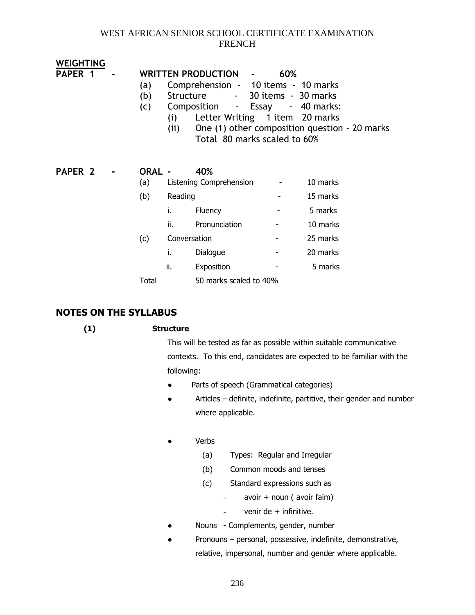| <b>WEIGHTING</b>   |                   |                         |                                                                                                                                                                                                                |     |                                              |  |
|--------------------|-------------------|-------------------------|----------------------------------------------------------------------------------------------------------------------------------------------------------------------------------------------------------------|-----|----------------------------------------------|--|
| PAPER <sub>1</sub> | (a)<br>(b)<br>(c) | (i)<br>(ii)             | WRITTEN PRODUCTION -<br>Comprehension - 10 items - 10 marks<br>Structure<br>Composition<br>Letter Writing - 1 item - 20 marks<br>One (1) other composition question - 20 marks<br>Total 80 marks scaled to 60% | 60% | - 30 items - 30 marks<br>- Essay - 40 marks: |  |
| PAPER <sub>2</sub> | ORAL -            |                         | 40%                                                                                                                                                                                                            |     |                                              |  |
|                    | (a)               | Listening Comprehension |                                                                                                                                                                                                                |     | 10 marks                                     |  |
|                    | (b)               | Reading                 |                                                                                                                                                                                                                |     | 15 marks                                     |  |
|                    |                   | i.                      | Fluency                                                                                                                                                                                                        |     | 5 marks                                      |  |
|                    |                   | ii.                     | Pronunciation                                                                                                                                                                                                  |     | 10 marks                                     |  |
|                    | (c)               |                         | Conversation                                                                                                                                                                                                   |     | 25 marks                                     |  |
|                    |                   | i.                      | Dialogue                                                                                                                                                                                                       |     | 20 marks                                     |  |
|                    |                   | ii.                     | Exposition                                                                                                                                                                                                     |     | 5 marks                                      |  |
|                    | Total             |                         | 50 marks scaled to 40%                                                                                                                                                                                         |     |                                              |  |

# **NOTES ON THE SYLLABUS**

# **(1) Structure**

This will be tested as far as possible within suitable communicative contexts. To this end, candidates are expected to be familiar with the following:

- Parts of speech (Grammatical categories)
- Articles definite, indefinite, partitive, their gender and number where applicable.

## ● Verbs

- (a) Types: Regular and Irregular
- (b) Common moods and tenses
- (c) Standard expressions such as
	- avoir + noun ( avoir faim)
		- venir de  $+$  infinitive.
- Nouns Complements, gender, number
- Pronouns personal, possessive, indefinite, demonstrative, relative, impersonal, number and gender where applicable.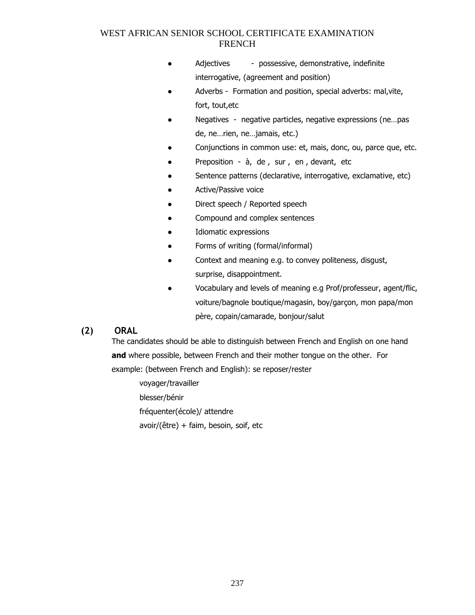- Adjectives possessive, demonstrative, indefinite interrogative, (agreement and position)
- Adverbs Formation and position, special adverbs: mal, vite, fort, tout,etc
- Negatives negative particles, negative expressions (ne…pas de, ne…rien, ne…jamais, etc.)
- Conjunctions in common use: et, mais, donc, ou, parce que, etc.
- Preposition  $\dot{a}$ , de, sur, en, devant, etc
- Sentence patterns (declarative, interrogative, exclamative, etc)
- Active/Passive voice
- Direct speech / Reported speech
- Compound and complex sentences
- Idiomatic expressions
- Forms of writing (formal/informal)
- Context and meaning e.g. to convey politeness, disgust, surprise, disappointment.
- Vocabulary and levels of meaning e.g Prof/professeur, agent/flic, voiture/bagnole boutique/magasin, boy/garçon, mon papa/mon père, copain/camarade, bonjour/salut

# **(2) ORAL**

The candidates should be able to distinguish between French and English on one hand **and** where possible, between French and their mother tongue on the other. For example: (between French and English): se reposer/rester

voyager/travailler blesser/bénir fréquenter(école)/ attendre avoir/(être) + faim, besoin, soif, etc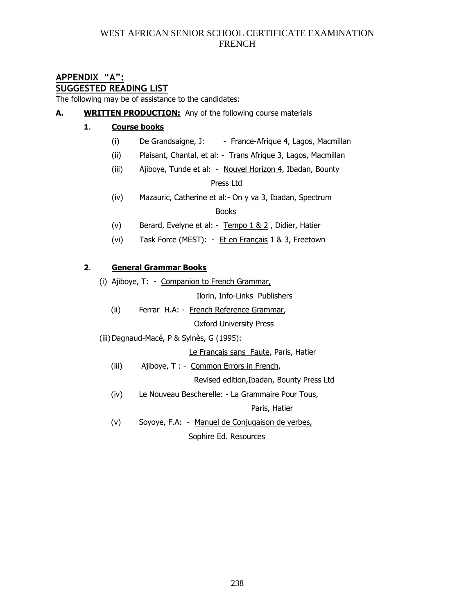#### **APPENDIX "A": SUGGESTED READING LIST**

The following may be of assistance to the candidates:

**A. WRITTEN PRODUCTION:** Any of the following course materials

## **1**. **Course books**

- (i) De Grandsaigne, J:  $-$  France-Afrique 4, Lagos, Macmillan
- (ii) Plaisant, Chantal, et al: Trans Afrique 3, Lagos, Macmillan
- (iii) Ajiboye, Tunde et al: Nouvel Horizon 4, Ibadan, Bounty Press Ltd
- (iv) Mazauric, Catherine et al:- On  $y$  va  $3$ , Ibadan, Spectrum in the contract of the contract of the Books and the Books of the contract of the Books of the contract of the
	- (v) Berard, Evelyne et al: Tempo 1 & 2 , Didier, Hatier
	- (vi) Task Force (MEST): Et en Français 1 & 3, Freetown

## **2**. **General Grammar Books**

(i) Ajiboye, T: - Companion to French Grammar,

Ilorin, Info-Links Publishers

(ii) Ferrar H.A: - French Reference Grammar,

Oxford University Press

(iii)Dagnaud-Macé, P & Sylnès, G (1995):

Le Français sans Faute, Paris, Hatier

- (iii) Ajiboye, T : Common Errors in French,
	- Revised edition,Ibadan, Bounty Press Ltd
- (iv) Le Nouveau Bescherelle: La Grammaire Pour Tous,

Paris, Hatier

(v) Soyoye, F.A: - Manuel de Conjugaison de verbes, Sophire Ed. Resources